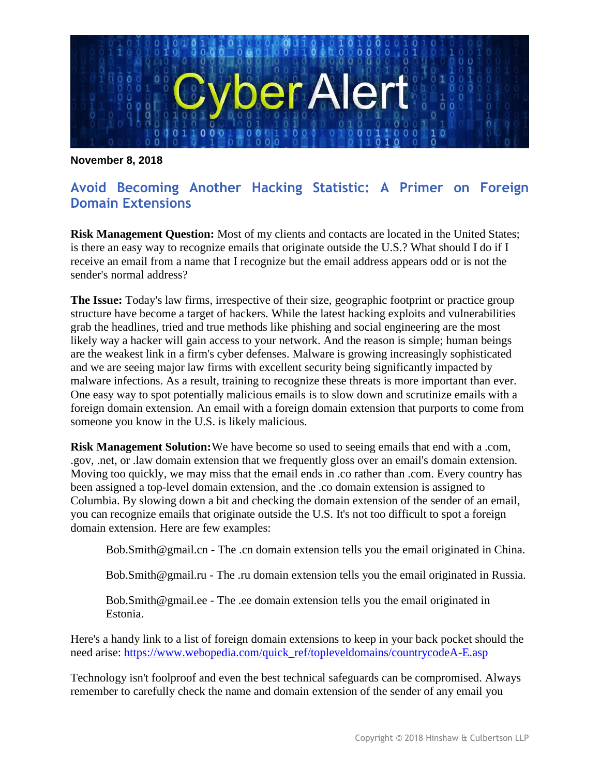

**November 8, 2018** 

## **Avoid Becoming Another Hacking Statistic: A Primer on Foreign Domain Extensions**

**Risk Management Question:** Most of my clients and contacts are located in the United States; is there an easy way to recognize emails that originate outside the U.S.? What should I do if I receive an email from a name that I recognize but the email address appears odd or is not the sender's normal address?

**The Issue:** Today's law firms, irrespective of their size, geographic footprint or practice group structure have become a target of hackers. While the latest hacking exploits and vulnerabilities grab the headlines, tried and true methods like phishing and social engineering are the most likely way a hacker will gain access to your network. And the reason is simple; human beings are the weakest link in a firm's cyber defenses. Malware is growing increasingly sophisticated and we are seeing major law firms with excellent security being significantly impacted by malware infections. As a result, training to recognize these threats is more important than ever. One easy way to spot potentially malicious emails is to slow down and scrutinize emails with a foreign domain extension. An email with a foreign domain extension that purports to come from someone you know in the U.S. is likely malicious.

**Risk Management Solution:**We have become so used to seeing emails that end with a .com, .gov, .net, or .law domain extension that we frequently gloss over an email's domain extension. Moving too quickly, we may miss that the email ends in .co rather than .com. Every country has been assigned a top-level domain extension, and the .co domain extension is assigned to Columbia. By slowing down a bit and checking the domain extension of the sender of an email, you can recognize emails that originate outside the U.S. It's not too difficult to spot a foreign domain extension. Here are few examples:

Bob.Smith@gmail.cn - The .cn domain extension tells you the email originated in China.

Bob.Smith@gmail.ru - The .ru domain extension tells you the email originated in Russia.

Bob.Smith@gmail.ee - The .ee domain extension tells you the email originated in Estonia.

Here's a handy link to a list of foreign domain extensions to keep in your back pocket should the need arise: https://www.webopedia.com/quick\_ref/topleveldomains/countrycodeA-E.asp

Technology isn't foolproof and even the best technical safeguards can be compromised. Always remember to carefully check the name and domain extension of the sender of any email you